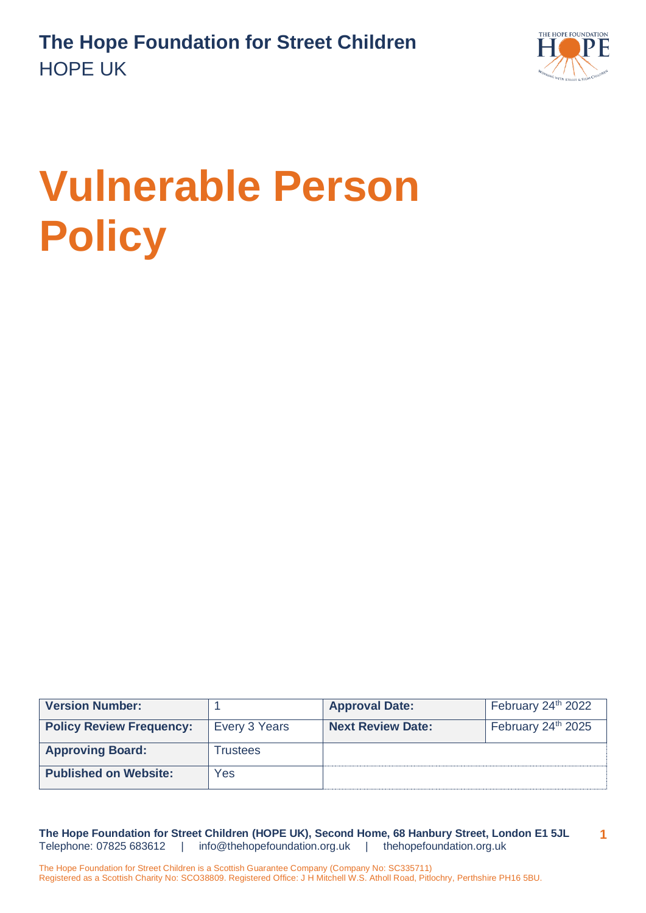

# **Vulnerable Person Policy**

| <b>Version Number:</b>          |                 | <b>Approval Date:</b>    | February 24 <sup>th</sup> 2022 |
|---------------------------------|-----------------|--------------------------|--------------------------------|
| <b>Policy Review Frequency:</b> | Every 3 Years   | <b>Next Review Date:</b> | February 24 <sup>th</sup> 2025 |
| <b>Approving Board:</b>         | <b>Trustees</b> |                          |                                |
| <b>Published on Website:</b>    | Yes             |                          |                                |

**The Hope Foundation for Street Children (HOPE UK), Second Home, 68 Hanbury Street, London E1 5JL** Telephone: 07825 683612 | [info@thehopefoundation.org.uk](mailto:info@thehopefoundation.org.uk) | thehopefoundation.org.uk **1**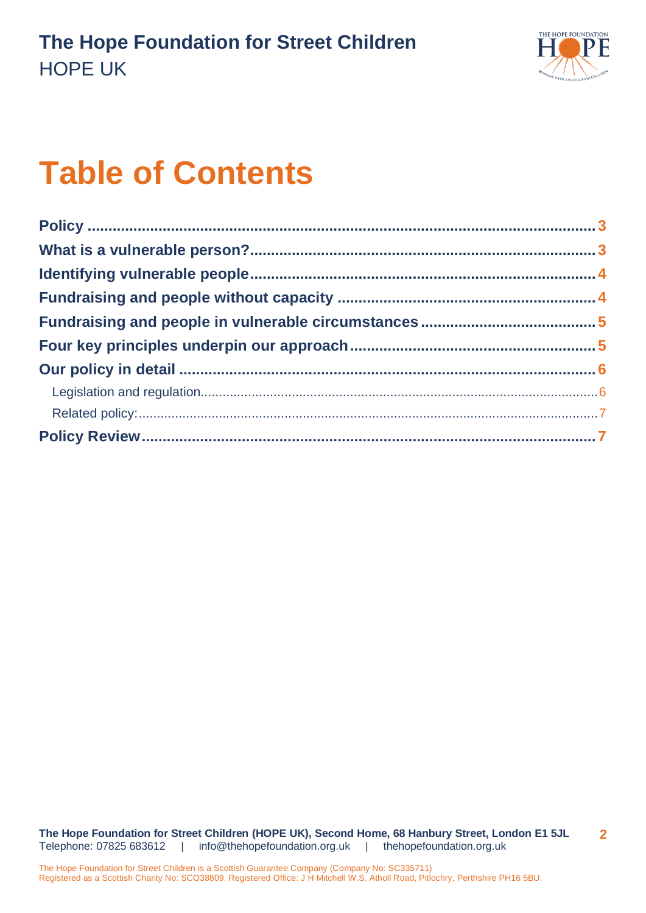

# **Table of Contents**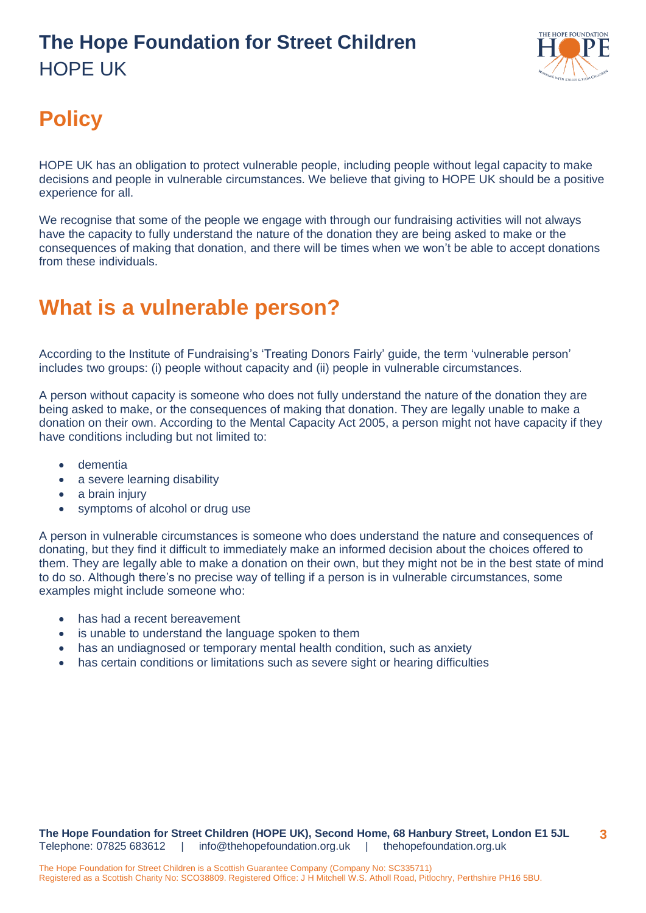

# <span id="page-2-0"></span>**Policy**

HOPE UK has an obligation to protect vulnerable people, including people without legal capacity to make decisions and people in vulnerable circumstances. We believe that giving to HOPE UK should be a positive experience for all.

We recognise that some of the people we engage with through our fundraising activities will not always have the capacity to fully understand the nature of the donation they are being asked to make or the consequences of making that donation, and there will be times when we won't be able to accept donations from these individuals.

### <span id="page-2-1"></span>**What is a vulnerable person?**

According to the Institute of Fundraising's 'Treating Donors Fairly' guide, the term 'vulnerable person' includes two groups: (i) people without capacity and (ii) people in vulnerable circumstances.

A person without capacity is someone who does not fully understand the nature of the donation they are being asked to make, or the consequences of making that donation. They are legally unable to make a donation on their own. According to the Mental Capacity Act 2005, a person might not have capacity if they have conditions including but not limited to:

- dementia
- a severe learning disability
- a brain injury
- symptoms of alcohol or drug use

A person in vulnerable circumstances is someone who does understand the nature and consequences of donating, but they find it difficult to immediately make an informed decision about the choices offered to them. They are legally able to make a donation on their own, but they might not be in the best state of mind to do so. Although there's no precise way of telling if a person is in vulnerable circumstances, some examples might include someone who:

- has had a recent bereavement
- is unable to understand the language spoken to them
- has an undiagnosed or temporary mental health condition, such as anxiety
- has certain conditions or limitations such as severe sight or hearing difficulties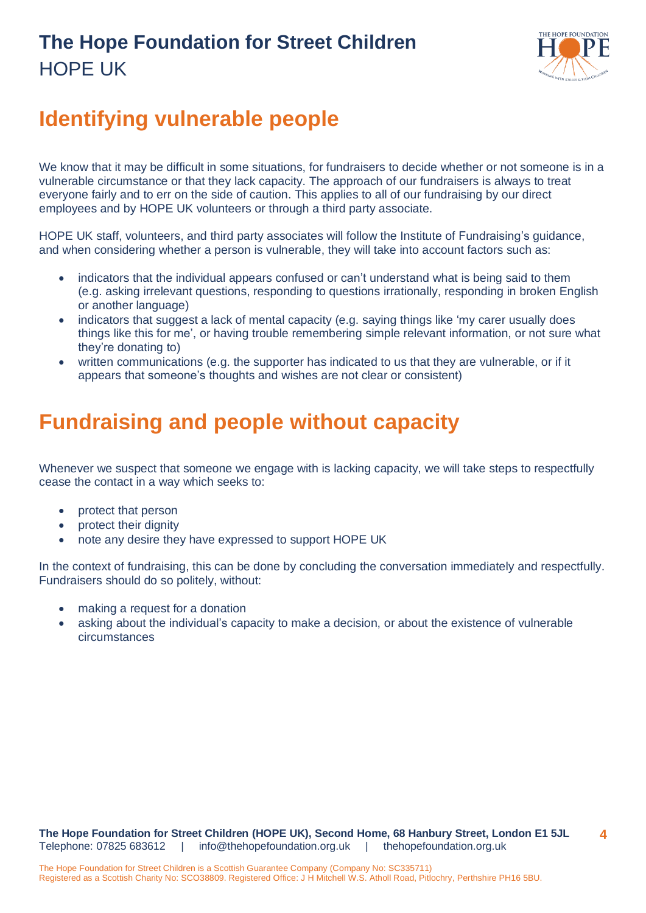

## <span id="page-3-0"></span>**Identifying vulnerable people**

We know that it may be difficult in some situations, for fundraisers to decide whether or not someone is in a vulnerable circumstance or that they lack capacity. The approach of our fundraisers is always to treat everyone fairly and to err on the side of caution. This applies to all of our fundraising by our direct employees and by HOPE UK volunteers or through a third party associate.

HOPE UK staff, volunteers, and third party associates will follow the Institute of Fundraising's guidance, and when considering whether a person is vulnerable, they will take into account factors such as:

- indicators that the individual appears confused or can't understand what is being said to them (e.g. asking irrelevant questions, responding to questions irrationally, responding in broken English or another language)
- indicators that suggest a lack of mental capacity (e.g. saying things like 'my carer usually does things like this for me', or having trouble remembering simple relevant information, or not sure what they're donating to)
- written communications (e.g. the supporter has indicated to us that they are vulnerable, or if it appears that someone's thoughts and wishes are not clear or consistent)

#### <span id="page-3-1"></span>**Fundraising and people without capacity**

Whenever we suspect that someone we engage with is lacking capacity, we will take steps to respectfully cease the contact in a way which seeks to:

- protect that person
- protect their dignity
- note any desire they have expressed to support HOPE UK

In the context of fundraising, this can be done by concluding the conversation immediately and respectfully. Fundraisers should do so politely, without:

- making a request for a donation
- asking about the individual's capacity to make a decision, or about the existence of vulnerable circumstances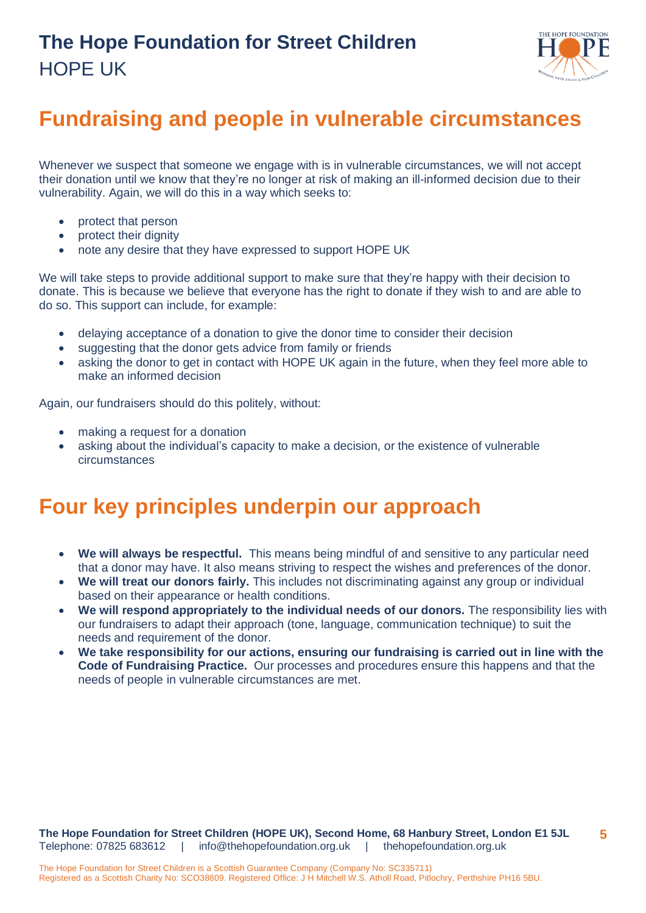

## <span id="page-4-0"></span>**Fundraising and people in vulnerable circumstances**

Whenever we suspect that someone we engage with is in vulnerable circumstances, we will not accept their donation until we know that they're no longer at risk of making an ill-informed decision due to their vulnerability. Again, we will do this in a way which seeks to:

- protect that person
- protect their dignity
- note any desire that they have expressed to support HOPE UK

We will take steps to provide additional support to make sure that they're happy with their decision to donate. This is because we believe that everyone has the right to donate if they wish to and are able to do so. This support can include, for example:

- delaying acceptance of a donation to give the donor time to consider their decision
- suggesting that the donor gets advice from family or friends
- asking the donor to get in contact with HOPE UK again in the future, when they feel more able to make an informed decision

Again, our fundraisers should do this politely, without:

- making a request for a donation
- asking about the individual's capacity to make a decision, or the existence of vulnerable circumstances

#### <span id="page-4-1"></span>**Four key principles underpin our approach**

- **We will always be respectful.** This means being mindful of and sensitive to any particular need that a donor may have. It also means striving to respect the wishes and preferences of the donor.
- **We will treat our donors fairly.** This includes not discriminating against any group or individual based on their appearance or health conditions.
- **We will respond appropriately to the individual needs of our donors.** The responsibility lies with our fundraisers to adapt their approach (tone, language, communication technique) to suit the needs and requirement of the donor.
- **We take responsibility for our actions, ensuring our fundraising is carried out in line with the Code of Fundraising Practice.** Our processes and procedures ensure this happens and that the needs of people in vulnerable circumstances are met.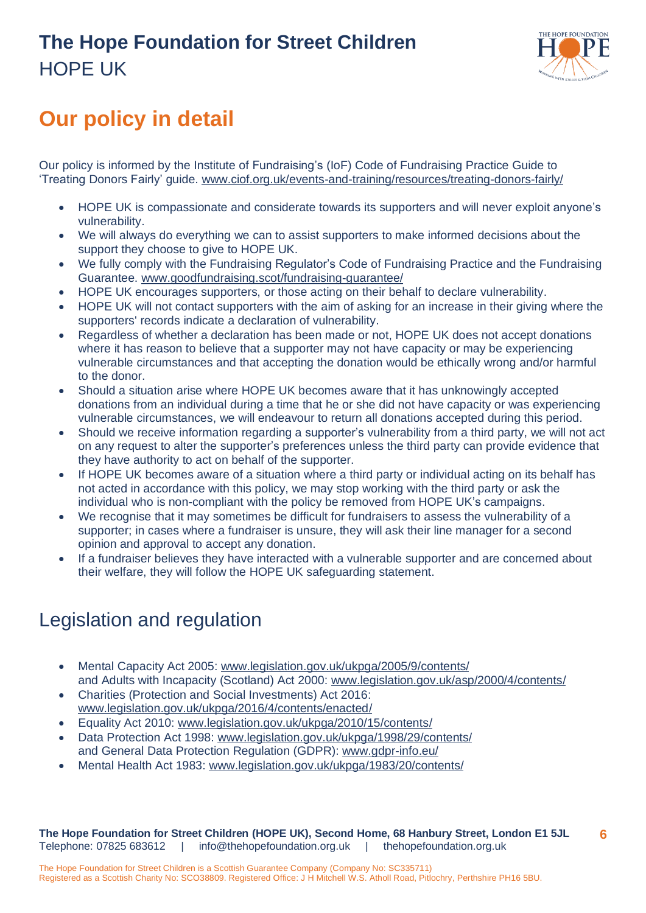

# <span id="page-5-0"></span>**Our policy in detail**

Our policy is informed by the Institute of Fundraising's (IoF) Code of Fundraising Practice Guide to 'Treating Donors Fairly' guide. [www.ciof.org.uk/events-and-training/resources/treating-donors-fairly/](http://www.ciof.org.uk/events-and-training/resources/treating-donors-fairly/)

- HOPE UK is compassionate and considerate towards its supporters and will never exploit anyone's vulnerability.
- We will always do everything we can to assist supporters to make informed decisions about the support they choose to give to HOPE UK.
- We fully comply with the Fundraising Regulator's Code of Fundraising Practice and the Fundraising Guarantee. [www.goodfundraising.scot/fundraising-guarantee/](http://www.goodfundraising.scot/fundraising-guarantee/)
- HOPE UK encourages supporters, or those acting on their behalf to declare vulnerability.
- HOPE UK will not contact supporters with the aim of asking for an increase in their giving where the supporters' records indicate a declaration of vulnerability.
- Regardless of whether a declaration has been made or not, HOPE UK does not accept donations where it has reason to believe that a supporter may not have capacity or may be experiencing vulnerable circumstances and that accepting the donation would be ethically wrong and/or harmful to the donor.
- Should a situation arise where HOPE UK becomes aware that it has unknowingly accepted donations from an individual during a time that he or she did not have capacity or was experiencing vulnerable circumstances, we will endeavour to return all donations accepted during this period.
- Should we receive information regarding a supporter's vulnerability from a third party, we will not act on any request to alter the supporter's preferences unless the third party can provide evidence that they have authority to act on behalf of the supporter.
- If HOPE UK becomes aware of a situation where a third party or individual acting on its behalf has not acted in accordance with this policy, we may stop working with the third party or ask the individual who is non-compliant with the policy be removed from HOPE UK's campaigns.
- We recognise that it may sometimes be difficult for fundraisers to assess the vulnerability of a supporter; in cases where a fundraiser is unsure, they will ask their line manager for a second opinion and approval to accept any donation.
- If a fundraiser believes they have interacted with a vulnerable supporter and are concerned about their welfare, they will follow the HOPE UK safeguarding statement.

#### <span id="page-5-1"></span>Legislation and regulation

- Mental Capacity Act 2005: [www.legislation.gov.uk/ukpga/2005/9/contents/](http://www.legislation.gov.uk/ukpga/2005/9/contents/) and Adults with Incapacity (Scotland) Act 2000: www.legislation.gov.uk/asp/2000/4/contents/
- Charities (Protection and Social Investments) Act 2016: www.legislation.gov.uk/ukpga/2016/4/contents/enacted/
- Equality Act 2010: www.legislation.gov.uk/ukpga/2010/15/contents/
- Data Protection Act 1998: [www.legislation.gov.uk/ukpga/1998/29/contents/](http://www.legislation.gov.uk/ukpga/1998/29/contents/) and General Data Protection Regulation (GDPR): www.gdpr-info.eu/
- Mental Health Act 1983: [www.legislation.gov.uk/ukpga/1983/20/contents/](http://www.legislation.gov.uk/ukpga/1983/20/contents)